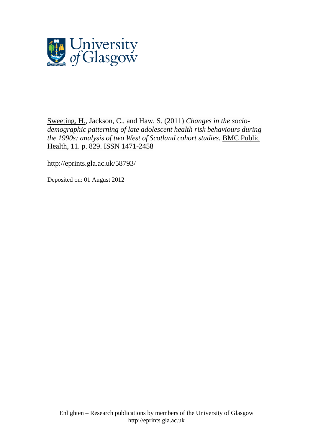

[Sweeting, H.,](http://eprints.gla.ac.uk/view/author/6296.html) Jackson, C., and Haw, S. (2011) *Changes in the sociodemographic patterning of late adolescent health risk behaviours during the 1990s: analysis of two West of Scotland cohort studies.* [BMC Public](http://eprints.gla.ac.uk/view/journal_volume/BMC_Public_Health.html)  [Health,](http://eprints.gla.ac.uk/view/journal_volume/BMC_Public_Health.html) 11. p. 829. ISSN 1471-2458

<http://eprints.gla.ac.uk/58793/>

Deposited on: 01 August 2012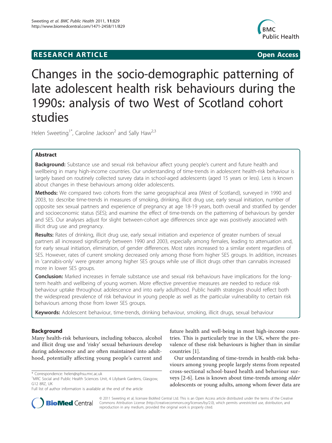# **RESEARCH ARTICLE Example 2018 CONSIDERING ACCESS**



Changes in the socio-demographic patterning of late adolescent health risk behaviours during the 1990s: analysis of two West of Scotland cohort studies

Helen Sweeting<sup>1\*</sup>, Caroline Jackson<sup>2</sup> and Sally Haw<sup>2,3</sup>

# Abstract

**Background:** Substance use and sexual risk behaviour affect young people's current and future health and wellbeing in many high-income countries. Our understanding of time-trends in adolescent health-risk behaviour is largely based on routinely collected survey data in school-aged adolescents (aged 15 years or less). Less is known about changes in these behaviours among older adolescents.

**Methods:** We compared two cohorts from the same geographical area (West of Scotland), surveyed in 1990 and 2003, to: describe time-trends in measures of smoking, drinking, illicit drug use, early sexual initiation, number of opposite sex sexual partners and experience of pregnancy at age 18-19 years, both overall and stratified by gender and socioeconomic status (SES); and examine the effect of time-trends on the patterning of behaviours by gender and SES. Our analyses adjust for slight between-cohort age differences since age was positively associated with illicit drug use and pregnancy.

Results: Rates of drinking, illicit drug use, early sexual initiation and experience of greater numbers of sexual partners all increased significantly between 1990 and 2003, especially among females, leading to attenuation and, for early sexual initiation, elimination, of gender differences. Most rates increased to a similar extent regardless of SES. However, rates of current smoking decreased only among those from higher SES groups. In addition, increases in 'cannabis-only' were greater among higher SES groups while use of illicit drugs other than cannabis increased more in lower SES groups.

Conclusion: Marked increases in female substance use and sexual risk behaviours have implications for the longterm health and wellbeing of young women. More effective preventive measures are needed to reduce risk behaviour uptake throughout adolescence and into early adulthood. Public health strategies should reflect both the widespread prevalence of risk behaviour in young people as well as the particular vulnerability to certain risk behaviours among those from lower SES groups.

**Keywords:** Adolescent behaviour, time-trends, drinking behaviour, smoking, illicit drugs, sexual behaviour

# Background

Many health-risk behaviours, including tobacco, alcohol and illicit drug use and 'risky' sexual behaviours develop during adolescence and are often maintained into adulthood, potentially affecting young people's current and



Our understanding of time-trends in health-risk behaviours among young people largely stems from repeated cross-sectional school-based health and behaviour surveys [[2-](#page-14-0)[6\]](#page-15-0). Less is known about time-trends among older adolescents or young adults, among whom fewer data are



© 2011 Sweeting et al; licensee BioMed Central Ltd. This is an Open Access article distributed under the terms of the Creative Commons Attribution License [\(http://creativecommons.org/licenses/by/2.0](http://creativecommons.org/licenses/by/2.0)), which permits unrestricted use, distribution, and reproduction in any medium, provided the original work is properly cited.

<sup>\*</sup> Correspondence: [helen@sphsu.mrc.ac.uk](mailto:helen@sphsu.mrc.ac.uk)

<sup>&</sup>lt;sup>1</sup>MRC Social and Public Health Sciences Unit, 4 Lilybank Gardens, Glasgow, G12 8RZ, UK

Full list of author information is available at the end of the article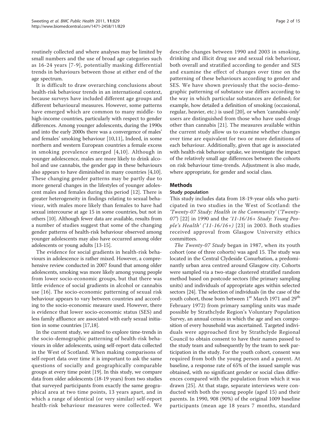routinely collected and where analyses may be limited by small numbers and the use of broad age categories such as 16-24 years [[7](#page-15-0)-[9\]](#page-15-0), potentially masking differential trends in behaviours between those at either end of the age spectrum.

It is difficult to draw overarching conclusions about health-risk behaviour trends in an international context, because surveys have included different age groups and different behavioural measures. However, some patterns have emerged which are common to many middle- to high-income countries, particularly with respect to gender differences. Among younger adolescents, during the 1990s and into the early 2000s there was a convergence of males' and females' smoking behaviour [[10,11\]](#page-15-0), Indeed, in some northern and western European countries a female excess in smoking prevalence emerged [[4](#page-14-0),[10](#page-15-0)]. Although in younger adolescence, males are more likely to drink alcohol and use cannabis, the gender gap in these behaviours also appears to have diminished in many countries [\[4](#page-14-0),[10](#page-15-0)]. These changing gender patterns may be partly due to more general changes in the lifestyles of younger adolescent males and females during this period [[12\]](#page-15-0). There is greater heterogeneity in findings relating to sexual behaviour, with males more likely than females to have had sexual intercourse at age 15 in some countries, but not in others [\[10\]](#page-15-0). Although fewer data are available, results from a number of studies suggest that some of the changing gender patterns of health-risk behaviour observed among younger adolescents may also have occurred among older adolescents or young adults [[13](#page-15-0)-[15](#page-15-0)].

The evidence for social gradients in health-risk behaviours in adolescence is rather mixed. However, a comprehensive review conducted in 2007 found that among older adolescents, smoking was more likely among young people from lower socio-economic groups, but that there was little evidence of social gradients in alcohol or cannabis use [\[16\]](#page-15-0). The socio-economic patterning of sexual risk behaviour appears to vary between countries and according to the socio-economic measure used. However, there is evidence that lower socio-economic status (SES) and less family affluence are associated with early sexual initiation in some countries [[17](#page-15-0),[18](#page-15-0)].

In the current study, we aimed to explore time-trends in the socio-demographic patterning of health-risk behaviours in older adolescents, using self-report data collected in the West of Scotland. When making comparisons of self-report data over time it is important to ask the same questions of socially and geographically comparable groups at every time point [[19\]](#page-15-0). In this study, we compare data from older adolescents (18-19 years) from two studies that surveyed participants from exactly the same geographical area at two time points, 13 years apart, and in which a range of identical (or very similar) self-report health-risk behaviour measures were collected. We describe changes between 1990 and 2003 in smoking, drinking and illicit drug use and sexual risk behaviour, both overall and stratified according to gender and SES and examine the effect of changes over time on the patterning of these behaviours according to gender and SES. We have shown previously that the socio-demographic patterning of substance use differs according to the way in which particular substances are defined; for example, how detailed a definition of smoking (occasional, regular, heavier, etc.) is used [\[20\]](#page-15-0), or when 'cannabis-only' users are distinguished from those who have used drugs other than cannabis [[21\]](#page-15-0). The measures available within the current study allow us to examine whether changes over time are equivalent for two or more definitions of each behaviour. Additionally, given that age is associated with health-risk behavior uptake, we investigate the impact of the relatively small age differences between the cohorts on risk behaviour time-trends. Adjustment is also made, where appropriate, for gender and social class.

### Methods

### Study population

This study includes data from 18-19-year olds who participated in two studies in the West of Scotland: the 'Twenty-07 Study: Health in the Community' ('Twenty-07') [[22\]](#page-15-0) in 1990 and the '11-16/16+ Study: Young People's Health' ('11-16/16+) [[23\]](#page-15-0) in 2003. Both studies received approval from Glasgow University ethics committees.

The Twenty-07 Study began in 1987, when its youth cohort (one of three cohorts) was aged 15. The study was located in the Central Clydeside Conurbation, a predominantly urban area centred around Glasgow city. Cohorts were sampled via a two-stage clustered stratified random method based on postcode sectors (the primary sampling units) and individuals of appropriate ages within selected sectors [\[24\]](#page-15-0). The selection of individuals (in the case of the youth cohort, those born between 1<sup>st</sup> March 1971 and 29<sup>th</sup> February 1972) from primary sampling units was made possible by Strathclyde Region's Voluntary Population Survey, an annual census in which the age and sex composition of every household was ascertained. Targeted individuals were approached first by Strathclyde Regional Council to obtain consent to have their names passed to the study team and subsequently by the team to seek participation in the study. For the youth cohort, consent was required from both the young person and a parent. At baseline, a response rate of 65% of the issued sample was obtained, with no significant gender or social class differences compared with the population from which it was drawn [[25](#page-15-0)]. At that stage, separate interviews were conducted with both the young people (aged 15) and their parents. In 1990, 908 (90%) of the original 1009 baseline participants (mean age 18 years 7 months, standard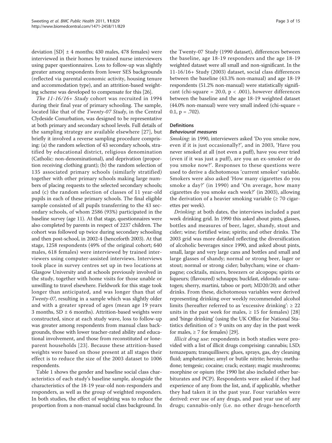deviation  $[SD] \pm 4$  months; 430 males, 478 females) were interviewed in their homes by trained nurse interviewers using paper questionnaires. Loss to follow-up was slightly greater among respondents from lower SES backgrounds (reflected via parental economic activity, housing tenure and accommodation type), and an attrition-based weighting scheme was developed to compensate for this [\[26\]](#page-15-0).

The 11-16/16+ Study cohort was recruited in 1994 during their final year of primary schooling. The sample, located like that of the Twenty-07 Study, in the Central Clydeside Conurbation, was designed to be representative at both primary and secondary school levels. Full details of the sampling strategy are available elsewhere [[27\]](#page-15-0), but briefly it involved a reverse sampling procedure comprising: (a) the random selection of 43 secondary schools, stratified by educational district, religious denomination (Catholic: non-denominational), and deprivation (proportion receiving clothing grant); (b) the random selection of 135 associated primary schools (similarly stratified) together with other primary schools making large numbers of placing requests to the selected secondary schools; and (c) the random selection of classes of 11 year-old pupils in each of these primary schools. The final eligible sample consisted of all pupils transferring to the 43 secondary schools, of whom 2586 (93%) participated in the baseline survey (age 11). At that stage, questionnaires were also completed by parents in respect of 2237 children. The cohort was followed up twice during secondary schooling and then post-school, in 2002-4 (henceforth 2003). At that stage, 1258 respondents (49% of the original cohort; 640 males, 618 females) were interviewed by trained interviewers using computer-assisted interviews. Interviews took place in survey centres set up in two locations at Glasgow University and at schools previously involved in the study, together with home visits for those unable or unwilling to travel elsewhere. Fieldwork for this stage took longer than anticipated, and was longer than that of Twenty-07, resulting in a sample which was slightly older and with a greater spread of ages (mean age 19 years 3 months,  $SD \pm 6$  months). Attrition-based weights were constructed, since at each study wave, loss to follow-up was greater among respondents from manual class backgrounds, those with lower teacher-rated ability and educational involvement, and those from reconstituted or loneparent households [[23\]](#page-15-0). Because these attrition-based weights were based on those present at all stages their effect is to reduce the size of the 2003 dataset to 1006 respondents.

Table [1](#page-4-0) shows the gender and baseline social class characteristics of each study's baseline sample, alongside the characteristics of the 18-19 year-old non-responders and responders, as well as the group of weighted responders. In both studies, the effect of weighting was to reduce the proportion from a non-manual social class background. In

the Twenty-07 Study (1990 dataset), differences between the baseline, age 18-19 responders and the age 18-19 weighted dataset were all small and non-significant. In the 11-16/16+ Study (2003) dataset, social class differences between the baseline (43.3% non-manual) and age 18-19 respondents (51.2% non-manual) were statistically significant (chi-square = 20.0,  $p < .001$ ), however differences between the baseline and the age 18-19 weighted dataset (44.0% non-manual) were very small indeed (chi-square = 0.1,  $p = .702$ ).

### Definitions

### Behavioural measures

Smoking: in 1990, interviewers asked 'Do you smoke now, even if it is just occasionally?', and in 2003, 'Have you never smoked at all (not even a puff), have you ever tried (even if it was just a puff), are you an ex-smoker or do you smoke now?'. Responses to these questions were used to derive a dichotomous 'current smoker' variable. Smokers were also asked 'How many cigarettes do you smoke a day?' (in 1990) and 'On average, how many cigarettes do you smoke each week?' (in 2003), allowing the derivation of a heavier smoking variable  $(\geq 70 \text{ cigar}$ ettes per week).

Drinking: at both dates, the interviews included a past week drinking grid. In 1990 this asked about pints, glasses, bottles and measures of beer, lager, shandy, stout and cider; wine; fortified wine; spirits; and other drinks. The 2003 grid was more detailed reflecting the diversification of alcoholic beverages since 1990, and asked about pints, small, large and very large cans and bottles and small and large glasses of shandy; normal or strong beer, lager or stout; normal or strong cider; babycham; wine or champagne; cocktails, mixers, breezers or alcopops; spirits or liqueurs; (flavoured) schnapps; buckfast, eldorado or sanatogen; sherry, martini, taboo or port; MD20/20; and other drinks. From these, dichotomous variables were derived representing drinking over weekly recommended alcohol limits (hereafter referred to as 'excessive drinking':  $\geq 22$ units in the past week for males,  $\geq 15$  for females) [\[28](#page-15-0)] and 'binge drinking' (using the UK Office for National Statistics definition of  $\geq$  9 units on any day in the past week for males,  $\geq 7$  for females) [\[29](#page-15-0)].

Illicit drug use: respondents in both studies were provided with a list of illicit drugs comprising: cannabis; LSD; temazepam; tranquillisers; glues, sprays, gas, dry cleaning fluid; amphetamine; amyl or butile nitrite; heroin; methadone; temgesic; cocaine; crack; ecstasy; magic mushrooms; morphine or opium (the 1990 list also included other barbiturates and PCP). Respondents were asked if they had experience of any from the list, and, if applicable, whether they had taken it in the past year. Four variables were derived: ever use of any drugs, and past year use of: any drugs; cannabis-only (i.e. no other drugs-henceforth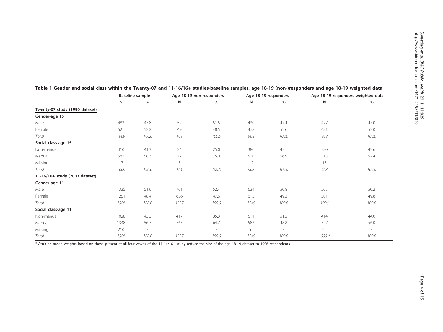|                                |      | <b>Baseline sample</b>   |      | Age 18-19 non-responders |      | Age 18-19 responders     | Age 18-19 responders-weighted data |        |
|--------------------------------|------|--------------------------|------|--------------------------|------|--------------------------|------------------------------------|--------|
|                                | N    | %                        | N    | $\%$                     | N    | $\%$                     | N                                  | $\%$   |
| Twenty-07 study (1990 dataset) |      |                          |      |                          |      |                          |                                    |        |
| Gender-age 15                  |      |                          |      |                          |      |                          |                                    |        |
| Male                           | 482  | 47.8                     | 52   | 51.5                     | 430  | 47.4                     | 427                                | 47.0   |
| Female                         | 527  | 52.2                     | 49   | 48.5                     | 478  | 52.6                     | 481                                | 53.0   |
| Total                          | 1009 | 100.0                    | 101  | 100.0                    | 908  | 100.0                    | 908                                | 100.0  |
| Social class-age 15            |      |                          |      |                          |      |                          |                                    |        |
| Non-manual                     | 410  | 41.3                     | 24   | 25.0                     | 386  | 43.1                     | 380                                | 42.6   |
| Manual                         | 582  | 58.7                     | 72   | 75.0                     | 510  | 56.9                     | 513                                | 57.4   |
| Missing                        | 17   | $\overline{\phantom{a}}$ | 5    | $\overline{\phantom{a}}$ | 12   | $\overline{\phantom{a}}$ | 15                                 | $\sim$ |
| Total                          | 1009 | 100.0                    | 101  | 100.0                    | 908  | 100.0                    | 908                                | 100.0  |
| 11-16/16+ study (2003 dataset) |      |                          |      |                          |      |                          |                                    |        |
| Gender-age 11                  |      |                          |      |                          |      |                          |                                    |        |
| Male                           | 1335 | 51.6                     | 701  | 52.4                     | 634  | 50.8                     | 505                                | 50.2   |
| Female                         | 1251 | 48.4                     | 636  | 47.6                     | 615  | 49.2                     | 501                                | 49.8   |
| Total                          | 2586 | 100.0                    | 1337 | 100.0                    | 1249 | 100.0                    | 1006                               | 100.0  |
| Social class-age 11            |      |                          |      |                          |      |                          |                                    |        |
| Non-manual                     | 1028 | 43.3                     | 417  | 35.3                     | 611  | 51.2                     | 414                                | 44.0   |
| Manual                         | 1348 | 56.7                     | 765  | 64.7                     | 583  | 48.8                     | 527                                | 56.0   |
| Missing                        | 210  | $\sim$                   | 155  | $\overline{\phantom{a}}$ | 55   | $\overline{\phantom{a}}$ | 65                                 | $\sim$ |
| Total                          | 2586 | 100.0                    | 1337 | 100.0                    | 1249 | 100.0                    | $1006*$                            | 100.0  |

### <span id="page-4-0"></span>Table <sup>1</sup> Gender and social class within the Twenty-07 and 11-16/16+ studies-baseline samples, age 18-19 (non-)responders and age 18-19 weighted data

\* Attrition-based weights based on those present at all four waves of the 11-16/16+ study reduce the size of the age 18-19 dataset to 1006 respondents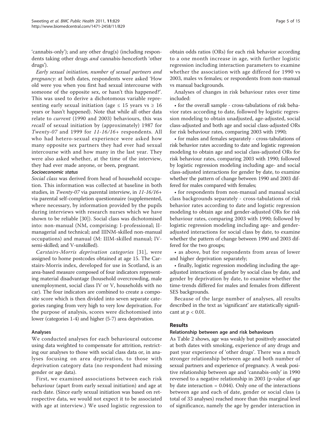'cannabis-only'); and any other drug(s) (including respondents taking other drugs and cannabis-henceforth 'other drugs').

Early sexual initiation, number of sexual partners and pregnancy: at both dates, respondents were asked 'How old were you when you first had sexual intercourse with someone of the opposite sex, or hasn't this happened?'. This was used to derive a dichotomous variable representing early sexual initiation (age  $\leq 15$  years vs  $\geq 16$ years or hasn't happened). Note that while all other data relate to current (1990 and 2003) behaviours, this was recall of sexual initiation by (approximately) 1987 for Twenty-07 and 1999 for 11-16/16+ respondents. All who had hetero-sexual experience were asked how many opposite sex partners they had ever had sexual intercourse with and how many in the last year. They were also asked whether, at the time of the interview, they had ever made anyone, or been, pregnant.

### Socioeconomic status

Social class was derived from head of household occupation. This information was collected at baseline in both studies, in Twenty-07 via parental interview, in 11-16/16+ via parental self-completion questionnaire (supplemented, where necessary, by information provided by the pupils during interviews with research nurses which we have shown to be reliable [\[30](#page-15-0)]). Social class was dichotomised into: non-manual (NM, comprising: I-professional; IImanagerial and technical; and IIINM-skilled non-manual occupations) and manual (M: IIIM-skilled manual; IVsemi-skilled; and V-unskilled).

Carstairs-Morris deprivation categories [[31](#page-15-0)], were assigned to home postcodes obtained at age 15. The Carstairs-Morris index, developed for use in Scotland, is an area-based measure composed of four indicators representing material disadvantage (household overcrowding, male unemployment, social class IV or V, households with no car). The four indicators are combined to create a composite score which is then divided into seven separate categories ranging from very high to very low deprivation. For the purpose of analysis, scores were dichotomised into lower (categories 1-4) and higher (5-7) area deprivation.

### Analyses

We conducted analyses for each behavioural outcome using data weighted to compensate for attrition, restricting our analyses to those with social class data or, in analyses focusing on area deprivation, to those with deprivation category data (no respondent had missing gender or age data).

First, we examined associations between each risk behaviour (apart from early sexual initiation) and age at each date. (Since early sexual initiation was based on retrospective data, we would not expect it to be associated with age at interview.) We used logistic regression to

obtain odds ratios (ORs) for each risk behavior according to a one month increase in age, with further logistic regression including interaction parameters to examine whether the association with age differed for 1990 vs 2003, males vs females; or respondents from non-manual vs manual backgrounds.

Analyses of changes in risk behaviour rates over time included:

• for the overall sample - cross-tabulations of risk behavior rates according to date, followed by logistic regression modeling to obtain unadjusted, age-adjusted, social class-adjusted and both age and social class-adjusted ORs for risk behaviour rates, comparing 2003 with 1990;

• for males and females separately - cross-tabulations of risk behavior rates according to date and logistic regression modeling to obtain age and social class-adjusted ORs for risk behaviour rates, comparing 2003 with 1990; followed by logistic regression modeling including age- and social class-adjusted interactions for gender by date, to examine whether the pattern of change between 1990 and 2003 differed for males compared with females;

• for respondents from non-manual and manual social class backgrounds separately - cross-tabulations of risk behavior rates according to date and logistic regression modeling to obtain age and gender-adjusted ORs for risk behaviour rates, comparing 2003 with 1990; followed by logistic regression modeling including age- and genderadjusted interactions for social class by date, to examine whether the pattern of change between 1990 and 2003 differed for the two groups;

• as above, but for respondents from areas of lower and higher deprivation separately;

• finally, logistic regression modeling including the ageadjusted interactions of gender by social class by date, and gender by deprivation by date, to examine whether the time-trends differed for males and females from different SES backgrounds.

Because of the large number of analyses, all results described in the text as 'significant' are statistically significant at  $p < 0.01$ .

### Results

### Relationship between age and risk behaviours

As Table [2](#page-6-0) shows, age was weakly but positively associated at both dates with smoking, experience of any drugs and past year experience of 'other drugs'. There was a much stronger relationship between age and both number of sexual partners and experience of pregnancy. A weak positive relationship between age and 'cannabis-only' in 1990 reversed to a negative relationship in 2003 (p-value of age by date interaction = 0.044). Only one of the interactions between age and each of date, gender or social class (a total of 33 analyses) reached more than this marginal level of significance, namely the age by gender interaction in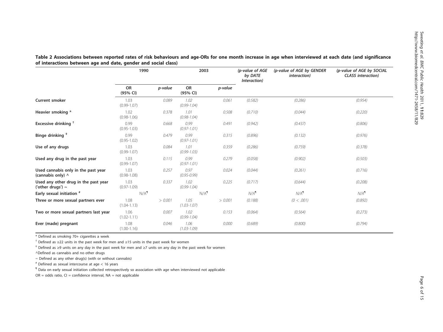|                                                                | 1990                    |         | 2003                    |         | (p-value of AGE<br>by DATE<br>Interaction) | (p-value of AGE by GENDER<br><i>interaction</i> ) | (p-value of AGE by SOCIAL<br><b>CLASS</b> interaction) |
|----------------------------------------------------------------|-------------------------|---------|-------------------------|---------|--------------------------------------------|---------------------------------------------------|--------------------------------------------------------|
|                                                                | <b>OR</b><br>(95% CI)   | p-value | <b>OR</b><br>(95% CI)   | p-value |                                            |                                                   |                                                        |
| Current smoker                                                 | 1.03<br>$(0.99 - 1.07)$ | 0.089   | 1.02<br>$(0.99 - 1.04)$ | 0.061   | (0.582)                                    | (0.286)                                           | (0.954)                                                |
| Heavier smoking *                                              | 1.02<br>$(0.98 - 1.06)$ | 0.378   | 1.01<br>$(0.98 - 1.04)$ | 0.508   | (0.710)                                    | (0.044)                                           | (0.220)                                                |
| Excessive drinking $^\dagger$                                  | 0.99<br>$(0.95 - 1.03)$ | 0.668   | 0.99<br>$(0.97 - 1.01)$ | 0.491   | (0.942)                                    | (0.437)                                           | (0.806)                                                |
| Binge drinking ‡                                               | 0.99<br>$(0.95 - 1.02)$ | 0.479   | 0.99<br>$(0.97 - 1.01)$ | 0.315   | (0.896)                                    | (0.132)                                           | (0.976)                                                |
| Use of any drugs                                               | 1.03<br>$(0.99 - 1.07)$ | 0.084   | 1.01<br>$(0.99 - 1.03)$ | 0.359   | (0.286)                                    | (0.759)                                           | (0.378)                                                |
| Used any drug in the past year                                 | 1.03<br>$(0.99 - 1.07)$ | 0.115   | 0.99<br>$(0.97 - 1.01)$ | 0.279   | (0.058)                                    | (0.902)                                           | (0.503)                                                |
| Used cannabis only in the past year<br>(cannabis only) ^       | 1.03<br>$(0.98 - 1.08)$ | 0.257   | 0.97<br>$(0.95 - 0.99)$ | 0.024   | (0.044)                                    | (0.261)                                           | (0.716)                                                |
| Used any other drug in the past year<br>('other drugs') $\sim$ | 1.03<br>$(0.97 - 1.09)$ | 0.337   | 1.02<br>$(0.99 - 1.04)$ | 0.225   | (0.717)                                    | (0.644)                                           | (0.208)                                                |
| Early sexual initiation #                                      | N/A <sup>1</sup>        |         | N/A <sup>1</sup>        |         | N/A <sup>1</sup>                           | N/A <sup>9</sup>                                  | N/A <sup>9</sup>                                       |
| Three or more sexual partners ever                             | 1.08<br>$(1.04 - 1.13)$ | > 0.001 | 1.05<br>$(1.03 - 1.07)$ | > 0.001 | (0.188)                                    | (0 < .001)                                        | (0.892)                                                |
| Two or more sexual partners last year                          | 1.06<br>$(1.02 - 1.11)$ | 0.007   | 1.02<br>$(0.99 - 1.04)$ | 0.153   | (0.064)                                    | (0.564)                                           | (0.273)                                                |
| Ever (made) pregnant                                           | 1.08<br>$(1.00-1.16)$   | 0.046   | 1.06<br>$(1.03 - 1.09)$ | 0.000   | (0.689)                                    | (0.800)                                           | (0.794)                                                |

<span id="page-6-0"></span>Table 2 Associations between reported rates of risk behaviours and age-ORs for one month increase in age when interviewed at each date (and significance of interactions between age and date, gender and social class)  $\overline{\phantom{a}}$ 

\* Defined as smoking 70+ cigarettes <sup>a</sup> week

† Defined as <sup>≥</sup>22 units in the past week for men and <sup>≥</sup>15 units in the past week for women

‡ Defined as <sup>≥</sup>9 units on any day in the past week for men and <sup>≥</sup><sup>7</sup> units on any day in the past week for women

^Defined as cannabis and no other drugs

~ Defined as any other drug(s) (with or without cannabis)

# Defiined as sexual intercourse at age <sup>&</sup>lt; 16 years

¶ Data on early sexual initiation collected retrospectively so association with age when interviewed not applicable

 $OR = odds$  ratio,  $CI = confidence$  interval,  $NA = not$  applicable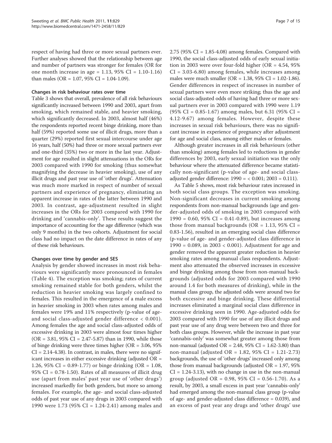respect of having had three or more sexual partners ever. Further analyses showed that the relationship between age and number of partners was stronger for females (OR for one month increase in age =  $1.13$ ,  $95\%$  CI =  $1.10-1.16$ ) than males (OR = 1.07, 95% CI = 1.04-1.09).

### Changes in risk behaviour rates over time

Table [3](#page-8-0) shows that overall, prevalence of all risk behaviours significantly increased between 1990 and 2003, apart from smoking, which remained stable, and heavier smoking, which significantly decreased. In 2003, almost half (46%) the respondents reported recent binge drinking, more than half (59%) reported some use of illicit drugs, more than a quarter (29%) reported first sexual intercourse under age 16 years, half (50%) had three or more sexual partners ever and one-third (35%) two or more in the last year. Adjustment for age resulted in slight attenuations in the ORs for 2003 compared with 1990 for smoking (thus somewhat magnifying the decrease in heavier smoking), use of any illicit drugs and past year use of 'other drugs'. Attenuation was much more marked in respect of number of sexual partners and experience of pregnancy, eliminating an apparent increase in rates of the latter between 1990 and 2003. In contrast, age-adjustment resulted in slight increases in the ORs for 2003 compared with 1990 for drinking and 'cannabis-only'. These results suggest the importance of accounting for the age difference (which was only 9 months) in the two cohorts. Adjustment for social class had no impact on the date difference in rates of any of these risk behaviours.

### Changes over time by gender and SES

Analysis by gender showed increases in most risk behaviours were significantly more pronounced in females (Table [4](#page-9-0)). The exception was smoking; rates of current smoking remained stable for both genders, whilst the reduction in heavier smoking was largely confined to females. This resulted in the emergence of a male excess in heavier smoking in 2003 when rates among males and females were 19% and 11% respectively (p-value of ageand social class-adjusted gender difference < 0.001). Among females the age and social class-adjusted odds of excessive drinking in 2003 were almost four times higher  $(OR = 3.81, 95\% CI = 2.47-5.87)$  than in 1990, while those of binge drinking were three times higher (OR = 3.06, 95%  $CI = 2.14-4.38$ . In contrast, in males, there were no significant increases in either excessive drinking (adjusted OR = 1.26, 95% CI =  $0.89 - 1.77$  or binge drinking (OR =  $1.08$ , 95% CI = 0.78-1.50). Rates of all measures of illicit drug use (apart from males' past year use of 'other drugs') increased markedly for both genders, but more so among females. For example, the age- and social class-adjusted odds of past year use of any drugs in 2003 compared with 1990 were 1.73 (95% CI = 1.24-2.41) among males and 2.75 (95% CI = 1.85-4.08) among females. Compared with 1990, the social class-adjusted odds of early sexual initiation in 2003 were over four-fold higher (OR = 4.54, 95%  $CI = 3.03-6.80$ ) among females, while increases among males were much smaller (OR = 1.38, 95% CI = 1.02-1.86). Gender differences in respect of increases in number of sexual partners were even more striking; thus the age and social class-adjusted odds of having had three or more sexual partners ever in 2003 compared with 1990 were 1.19  $(95\% \text{ CI} = 0.85 - 1.67)$  among males, but 6.31 (95% CI = 4.12-9.67) among females. However, despite these increases in sexual risk behaviours, there was no significant increase in experience of pregnancy after adjustment for age and social class, among either males or females.

Although greater increases in all risk behaviours (other than smoking) among females led to reductions in gender differences by 2003, early sexual initiation was the only behaviour where the attenuated difference became statistically non-significant (p-value of age- and social classadjusted gender difference: 1990 = < 0.001; 2003 = 0.111).

As Table [5](#page-10-0) shows, most risk behaviour rates increased in both social class groups. The exception was smoking. Non-significant decreases in current smoking among respondents from non-manual backgrounds (age and gender-adjusted odds of smoking in 2003 compared with 1990 = 0.60, 95% CI = 0.41-0.89), but increases among those from manual backgrounds (OR =  $1.13$ , 95% CI = 0.83-1.56), resulted in an emerging social class difference (p-value of age- and gender-adjusted class difference in 1990 = 0.089, in 2003 < 0.001). Adjustment for age and gender removed the apparent greater reduction in heavier smoking rates among manual class respondents. Adjustment also attenuated the observed increases in excessive and binge drinking among those from non-manual backgrounds (adjusted odds for 2003 compared with 1990 around 1.4 for both measures of drinking), while in the manual class group, the adjusted odds were around two for both excessive and binge drinking. These differential increases eliminated a marginal social class difference in excessive drinking seen in 1990. Age-adjusted odds for 2003 compared with 1990 for use of any illicit drugs and past year use of any drug were between two and three for both class groups. However, while the increase in past year 'cannabis-only' was somewhat greater among those from non-manual (adjusted OR = 2.48,  $95\%$  CI = 1.62-3.80) than non-manual (adjusted OR = 1.82, 95% CI = 1.21-2.73) backgrounds, the use of 'other drugs' increased only among those from manual backgrounds (adjusted  $OR = 1.97, 95\%$  $CI = 1.24 - 3.13$ , with no change in use in the non-manual group (adjusted OR = 0.98, 95% CI = 0.56-1.70). As a result, by 2003, a small excess in past year 'cannabis-only' had emerged among the non-manual class group (p-value of age- and gender-adjusted class difference = 0.039), and an excess of past year any drugs and 'other drugs' use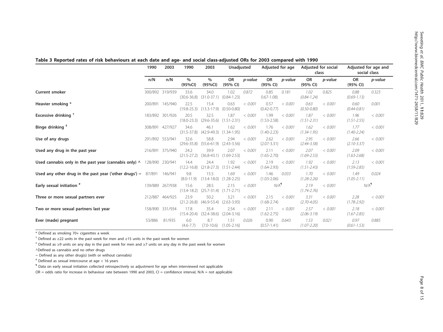|                                                                     | 1990    | 2003            | 1990                    | 2003                    | Unadjusted              |         | Adjusted for age        |         | Adjusted for social<br>class |         | Adjusted for age and<br>social class |         |
|---------------------------------------------------------------------|---------|-----------------|-------------------------|-------------------------|-------------------------|---------|-------------------------|---------|------------------------------|---------|--------------------------------------|---------|
|                                                                     | n/N     | n/N             | $\%$<br>(95%Cl)         | $\%$<br>(95%Cl)         | OR<br>(95% CI)          | p-value | OR<br>(95% CI)          | p-value | OR<br>(95% CI)               | p-value | OR<br>(95% CI)                       | p-value |
| <b>Current smoker</b>                                               |         | 300/892 319/939 | 33.6<br>$(30.6 - 36.8)$ | 34.0<br>$(31.0 - 37.1)$ | 1.02<br>$(0.84 - 1.23)$ | 0.872   | 0.85<br>$0.67 - 1.08$   | 0.181   | 1.02<br>$(0.84 - 1.24)$      | 0.825   | 0.88<br>$(0.69 - 1.13)$              | 0.323   |
| Heavier smoking *                                                   | 200/891 | 145/940         | 22.5<br>$(19.8 - 25.3)$ | 15.4<br>$(13.3 - 17.9)$ | 0.63<br>$(0.50 - 0.80)$ | < 0.001 | 0.57<br>$(0.42 - 0.77)$ | < 0.001 | 0.63<br>$(0.50 - 0.80)$      | < 0.001 | 0.60<br>$(0.44 - 0.81)$              | 0.001   |
| Excessive drinking <sup>1</sup>                                     | 183/892 | 301/926         | 20.5<br>$(18.0 - 23.3)$ | 32.5<br>$(29.6 - 35.6)$ | 1.87<br>$(1.51 - 2.31)$ | < 0.001 | 1.99<br>$(1.53 - 2.58)$ | < 0.001 | 1.87<br>$(1.51 - 2.31)$      | < 0.001 | 1.96<br>$(1.51 - 2.55)$              | < 0.001 |
| Binge drinking <sup>#</sup>                                         | 308/891 | 427/927         | 34.6<br>$(31.5 - 37.8)$ | 46.1<br>$(42.9 - 49.3)$ | 1.62<br>$(1.34 - 1.95)$ | < 0.001 | 1.76<br>$(1.40 - 2.23)$ | < 0.001 | 1.62<br>$(1.34 - 1.95)$      | < 0.001 | 1.77<br>$(1.40 - 2.24)$              | < 0.001 |
| Use of any drugs                                                    |         | 291/892 553/941 | 32.6<br>$(29.6 - 35.8)$ | 58.8<br>$(55.6 - 61.9)$ | 2.94<br>$(2.43 - 3.56)$ | < 0.001 | 2.62<br>$(2.07 - 3.31)$ | < 0.001 | 2.95<br>$(2.44 - 3.58)$      | < 0.001 | 2.66<br>$(2.10 - 3.37)$              | < 0.001 |
| Used any drug in the past year                                      | 216/891 | 375/940         | 24.2<br>$(21.5 - 27.2)$ | 39.9<br>$(36.8 - 43.1)$ | 2.07<br>$(1.69 - 2.53)$ | < 0.001 | 2.11<br>$(1.65 - 2.70)$ | < 0.001 | 2.07<br>$(1.69 - 2.53)$      | < 0.001 | 2.09<br>$(1.63 - 2.68)$              | < 0.001 |
| Used cannabis only in the past year (cannabis only) $\land$ 128/890 |         | 230/941         | 14.4<br>$(12.2 - 16.8)$ | 24.4<br>$(21.8 - 27.3)$ | 1.92<br>$(1.51 - 2.44)$ | < 0.001 | 2.19<br>$(1.64 - 2.93)$ | < 0.001 | 1.92<br>$(1.51 - 2.43)$      | < 0.001 | 2.13<br>$(1.59 - 2.85)$              | < 0.001 |
| Used any other drug in the past year ('other drugs') $\sim$         | 87/891  | 146/941         | 9.8<br>$(8.0 - 11.9)$   | 15.5<br>$(13.4 - 18.0)$ | 1.69<br>$(1.28 - 2.25)$ | < 0.001 | 1.46<br>$(1.03 - 2.06)$ | 0.033   | 1.70<br>$(1.28 - 2.26)$      | < 0.001 | 1.49<br>$(1.05 - 2.11)$              | 0.024   |
| Early sexual initiation #                                           | 139/889 | 267/938         | 15.6<br>$(13.4 - 18.2)$ | 28.5<br>$(25.7 - 31.4)$ | 2.15<br>$(1.71 - 2.71)$ | < 0.001 | N/A <sup>4</sup>        |         | 2.19<br>$(1.74 - 2.76)$      | < 0.001 | $N/A$ <sup>1</sup>                   |         |
| Three or more sexual partners ever                                  | 212/887 | 464/925         | 23.9<br>$(21.2 - 26.8)$ | 50.2<br>$(46.9 - 53.4)$ | 3.21<br>$(2.63 - 3.93)$ | < 0.001 | 2.15<br>$(1.68 - 2.74)$ | < 0.001 | 3.31<br>$(2.70 - 4.05)$      | < 0.001 | 2.28<br>$(1.78 - 2.92)$              | < 0.001 |
| Two or more sexual partners last year                               | 158/890 | 331/934         | 17.8<br>$(15.4 - 20.4)$ | 35.4<br>$(32.4 - 38.6)$ | 2.54<br>$(2.04 - 3.16)$ | < 0.001 | 2.11<br>$(1.62 - 2.75)$ | < 0.001 | 2.57<br>$(2.06 - 3.19)$      | < 0.001 | 2.18<br>$(1.67 - 2.85)$              | < 0.001 |
| Ever (made) pregnant                                                | 53/886  | 81/935          | 6.0<br>$(4.6 - 7.7)$    | 8.7<br>$(7.0 - 10.6)$   | 1.51<br>$(1.05 - 2.16)$ | 0.026   | 0.90<br>$(0.57 - 1.41)$ | 0.643   | 1.53<br>$(1.07 - 2.20)$      | 0.021   | 0.97<br>$(0.61 - 1.53)$              | 0.885   |

### <span id="page-8-0"></span>Table 3 Reported rates of risk behaviours at each date and age- and social class-adjusted ORs for 2003 compared with 1990

\* Defined as smoking 70+ cigarettes <sup>a</sup> week

<sup>†</sup> Defined as ≥22 units in the past week for men and ≥15 units in the past week for women

‡ Defined as <sup>≥</sup>9 units on any day in the past week for men and <sup>≥</sup><sup>7</sup> units on any day in the past week for women

^Defined as cannabis and no other drugs

 $\sim$  Defined as any other drug(s) (with or without cannabis)

# Defiined as sexual intercourse at age <sup>&</sup>lt; 16 years

¶ Data on early sexual initiation collected retrospectively so adjustment for age when interviewed not applicable

OR = odds ratio for increase in behaviour rate between 1990 and 2003, CI = confidence interval, N/A = not applicable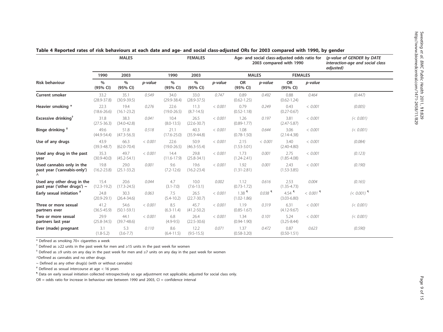|                                                                      |                         | <b>MALES</b>            |         |                         | <b>FEMALES</b>          |         |                                        |                      | Age- and social class-adjusted odds ratio for<br>2003 compared with 1990 |                        | (p-value of GENDER by DATE)<br>interaction-age and social class<br>adjusted) |
|----------------------------------------------------------------------|-------------------------|-------------------------|---------|-------------------------|-------------------------|---------|----------------------------------------|----------------------|--------------------------------------------------------------------------|------------------------|------------------------------------------------------------------------------|
|                                                                      | 1990                    | 2003                    |         | 1990                    | 2003                    |         | <b>MALES</b>                           |                      | <b>FEMALES</b>                                                           |                        |                                                                              |
| Risk behaviour                                                       | %<br>(95% CI)           | %<br>(95% CI)           | p-value | %<br>(95% CI)           | $\%$<br>(95% CI)        | p-value | OR<br>(95% CI)                         | p-value              | <b>OR</b><br>(95% CI)                                                    | p-value                |                                                                              |
| <b>Current smoker</b>                                                | 33.2<br>$(28.9 - 37.8)$ | 35.1<br>$(30.9 - 39.5)$ | 0.549   | 34.0<br>$(29.9 - 38.4)$ | 33.0<br>$(28.9 - 37.5)$ | 0.747   | 0.89<br>$(0.62 - 1.25)$                | 0.492                | 0.88<br>$(0.62 - 1.24)$                                                  | 0.464                  | (0.447)                                                                      |
| Heavier smoking *                                                    | 22.3<br>$(18.6 - 26.6)$ | 19.4<br>$(16.1 - 23.2)$ | 0.276   | 22.6<br>$(19.0 - 26.5)$ | 11.3<br>$(8.7 - 14.5)$  | < 0.001 | 0.79<br>$(0.52 - 1.18)$                | 0.249                | 0.43<br>$(0.27 - 0.67)$                                                  | < 0.001                | (0.005)                                                                      |
| Excessive drinking $T$                                               | 31.8<br>$(27.5 - 36.3)$ | 38.3<br>$(34.0 - 42.8)$ | 0.041   | 10.4<br>$(8.0 - 13.5)$  | 26.5<br>$(22.6 - 30.7)$ | < 0.001 | 1.26<br>$(0.89 - 1.77)$                | 0.197                | 3.81<br>$(2.47 - 5.87)$                                                  | < 0.001                | (< 0.001)                                                                    |
| Binge drinking <sup>#</sup>                                          | 49.6<br>$(44.9 - 54.4)$ | 51.8<br>$(47.3 - 56.3)$ | 0.518   | 21.1<br>$(17.6 - 25.0)$ | 40.3<br>$(35.9 - 44.8)$ | < 0.001 | 1.08<br>$(0.78 - 1.50)$                | 0.644                | 3.06<br>$(2.14 - 4.38)$                                                  | < 0.001                | (< 0.001)                                                                    |
| Use of any drugs                                                     | 43.9<br>$(39.3 - 48.7)$ | 66.3<br>$(62.0 - 70.4)$ | < 0.001 | 22.6<br>$(19.0 - 26.5)$ | 50.9<br>$(46.3 - 55.4)$ | < 0.001 | 2.15<br>$(1.53 - 3.01)$                | < 0.001              | 3.40<br>$(2.40 - 4.80)$                                                  | < 0.001                | (0.084)                                                                      |
| Used any drug in the past<br>year                                    | 35.3<br>$(30.9 - 40.0)$ | 49.7<br>$(45.2 - 54.1)$ | < 0.001 | 14.4<br>$(11.6 - 17.9)$ | 29.8<br>$(25.8 - 34.1)$ | < 0.001 | 1.73<br>$(1.24 - 2.41)$                | 0.001                | 2.75<br>$(1.85 - 4.08)$                                                  | < 0.001                | (0.123)                                                                      |
| Used cannabis only in the<br>past year ('cannabis-only')<br>$\wedge$ | 19.8<br>$(16.2 - 23.8)$ | 29.0<br>$(25.1 - 33.2)$ | 0.001   | 9.6<br>$(7.2 - 12.6)$   | 19.6<br>$(16.2 - 23.4)$ | < 0.001 | 1.92<br>$(1.31 - 2.81)$                | 0.001                | 2.43<br>$(1.53 - 3.85)$                                                  | < 0.001                | (0.190)                                                                      |
| Used any other drug in the<br>past year ('other drugs') $\sim$       | 15.4<br>$(12.3 - 19.2)$ | 20.6<br>$(17.3 - 24.5)$ | 0.044   | 4.7<br>$(3.1 - 7.0)$    | 10.0<br>$(7.6 - 13.1)$  | 0.002   | 1.12<br>$(0.73 - 1.72)$                | 0.616                | 2.53<br>$(1.35 - 4.73)$                                                  | 0.004                  | (0.165)                                                                      |
| Early sexual initiation #                                            | 24.8<br>$(20.9 - 29.1)$ | 30.3<br>$(26.4 - 34.6)$ | 0.063   | 7.5<br>$(5.4 - 10.2)$   | 26.5<br>$(22.7 - 30.7)$ | < 0.001 | $1.38$ <sup>1</sup><br>$(1.02 - 1.86)$ | $0.038$ <sup>1</sup> | 4.54 $1$<br>$(3.03 - 6.80)$                                              | $< 0.001$ <sup>1</sup> | $(< 0.001)$ <sup>¶</sup>                                                     |
| Three or more sexual<br>partners ever                                | 41.2<br>$(36.5 - 45.9)$ | 54.6<br>$(50.1 - 59.1)$ | < 0.001 | 8.5<br>$(6.3 - 11.4)$   | 45.7<br>$(41.2 - 50.2)$ | < 0.001 | 1.19<br>$(0.85 - 1.67)$                | 0.319                | 6.31<br>$(4.12 - 9.67)$                                                  | < 0.001                | (< 0.001)                                                                    |
| Two or more sexual<br>partners last year                             | 29.9<br>$(25.8 - 34.5)$ | 44.1<br>$(39.7 - 48.6)$ | < 0.001 | 6.8<br>$(4.9 - 9.5)$    | 26.4<br>$(22.5 - 30.6)$ | < 0.001 | 1.34<br>$(0.94 - 1.90)$                | 0.101                | 5.24<br>$(3.25 - 8.44)$                                                  | < 0.001                | (< 0.001)                                                                    |
| Ever (made) pregnant                                                 | 3.1<br>$(1.8 - 5.2)$    | 5.3<br>$(3.6 - 7.7)$    | 0.110   | 8.6<br>$(6.4 - 11.5)$   | 12.2<br>$(9.5 - 15.5)$  | 0.071   | 1.37<br>$(0.58 - 3.20)$                | 0.472                | 0.87<br>$(0.50 - 1.51)$                                                  | 0.623                  | (0.590)                                                                      |

#### <span id="page-9-0"></span>Table <sup>4</sup> Reported rates of risk behaviours at each date and age- and social class-adjusted ORs for 2003 compared with 1990, by gender

\* Defined as smoking 70+ cigarettes <sup>a</sup> week

<sup>†</sup> Defined as ≥22 units in the past week for men and ≥15 units in the past week for women

‡ Defined as <sup>≥</sup>9 units on any day in the past week for men and <sup>≥</sup><sup>7</sup> units on any day in the past week for women

^Defined as cannabis and no other drugs

 $\sim$  Defined as any other drug(s) (with or without cannabis)

# Defiined as sexual intercourse at age <sup>&</sup>lt; 16 years

¶ Data on early sexual initiation collected retrospectively so age adjustment not applicable; adjusted for social class only.

 $OR = odds$  ratio for increase in behaviour rate between 1990 and 2003,  $Cl = confidence$  interval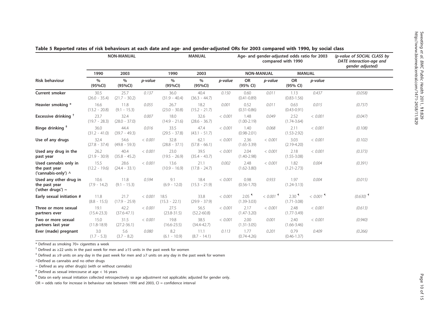|                                                                      |                         | <b>NON-MANUAL</b>       |         |                         | <b>MANUAL</b>           |         |                                        |                        | Age- and gender-adjusted odds ratio for 2003<br>compared with 1990 |                        | (p-value of SOCIAL CLASS by<br>DATE interaction-age and<br>gender adjusted) |
|----------------------------------------------------------------------|-------------------------|-------------------------|---------|-------------------------|-------------------------|---------|----------------------------------------|------------------------|--------------------------------------------------------------------|------------------------|-----------------------------------------------------------------------------|
|                                                                      | 1990                    | 2003                    |         | 1990                    | 2003                    |         |                                        | <b>NON-MANUAL</b>      |                                                                    | <b>MANUAL</b>          |                                                                             |
| <b>Risk behaviour</b>                                                | $\%$<br>(95%CI)         | %<br>(95%CI)            | p-value | %<br>(95%CI)            | %<br>(95%CI)            | p-value | <b>OR</b><br>(95% CI)                  | p-value                | OR<br>(95% CI)                                                     | p-value                |                                                                             |
| <b>Current smoker</b>                                                | 30.5<br>$(26.0 - 35.4)$ | 25.7<br>$(21.7 - 30.2)$ | 0.137   | 36.0<br>$(31.9 - 40.4)$ | 40.4<br>$(36.3 - 44.7)$ | 0.150   | 0.60<br>$(0.41 - 0.89)$                | 0.011                  | 1.13<br>$(0.83 - 1.56)$                                            | 0.437                  | (0.058)                                                                     |
| Heavier smoking *                                                    | 16.6<br>$(13.2 - 20.8)$ | 11.8<br>$(9.1 - 15.3)$  | 0.055   | 26.7<br>$(23.0 - 30.8)$ | 18.2<br>$(15.2 - 21.7)$ | 0.001   | 0.52<br>$(0.31 - 0.86)$                | 0.011                  | 0.63<br>$(0.43 - 0.91)$                                            | 0.015                  | (0.737)                                                                     |
| Excessive drinking <sup>+</sup>                                      | 23.7<br>$(19.7 - 28.3)$ | 32.4<br>$(28.0 - 37.0)$ | 0.007   | 18.0<br>$(14.9 - 21.6)$ | 32.6<br>$(28.6 - 36.7)$ | < 0.001 | 1.48<br>$(1.00 - 2.19)$                | 0.049                  | 2.52<br>$(1.74 - 3.64)$                                            | < 0.001                | (0.047)                                                                     |
| Binge drinking <sup>#</sup>                                          | 36.0<br>$(31.2 - 41.0)$ | 44.4<br>$(39.7 - 49.3)$ | 0.016   | 33.5<br>$(29.5 - 37.8)$ | 47.4<br>$(43.1 - 51.7)$ | < 0.001 | 1.40<br>$(0.98 - 2.01)$                | 0.068                  | 2.11<br>$(1.53 - 2.92)$                                            | < 0.001                | (0.108)                                                                     |
| Use of any drugs                                                     | 32.4<br>$(27.8 - 37.4)$ | 54.6<br>$(49.8 - 59.3)$ | < 0.001 | 32.8<br>$(28.8 - 37.1)$ | 62.1<br>$(57.8 - 66.1)$ | < 0.001 | 2.36<br>$(1.65 - 3.39)$                | < 0.001                | 3.03<br>$(2.19 - 4.20)$                                            | < 0.001                | (0.102)                                                                     |
| Used any drug in the<br>past year                                    | 26.2<br>$(21.9 - 30.9)$ | 40.4<br>$(35.8 - 45.2)$ | < 0.001 | 23.0<br>$(19.5 - 26.9)$ | 39.5<br>$(35.4 - 43.7)$ | < 0.001 | 2.04<br>$(1.40 - 2.98)$                | < 0.001                | 2.18<br>$(1.55 - 3.08)$                                            | < 0.001                | (0.373)                                                                     |
| Used cannabis only in<br>the past year<br>('cannabis-only') $\wedge$ | 15.5<br>$(12.2 - 19.6)$ | 28.6<br>$(24.4 - 33.1)$ | < 0.001 | 13.6<br>$(10.9 - 16.9)$ | 21.1<br>$(17.8 - 24.7)$ | 0.002   | 2.48<br>$(1.62 - 3.80)$                | < 0.001                | 1.82<br>$(1.21 - 2.73)$                                            | 0.004                  | (0.391)                                                                     |
| Used any other drug in<br>the past year<br>('other drugs') $\sim$    | 10.6<br>$(7.9 - 14.2)$  | 11.8<br>$(9.1 - 15.3)$  | 0.594   | 9.1<br>$(6.9 - 12.0)$   | 18.4<br>$(15.3 - 21.9)$ | < 0.001 | 0.98<br>$(0.56 - 1.70)$                | 0.933                  | 1.97<br>$(1.24 - 3.13)$                                            | 0.004                  | (0.015)                                                                     |
| Early sexual initiation #                                            | 11.8<br>$(8.8 - 15.5)$  | 21.7<br>$(17.9 - 25.9)$ | < 0.001 | 18.5<br>$(15.3 - 22.1)$ | 33.8<br>$(29.9 - 37.9)$ | < 0.001 | $2.05$ <sup>1</sup><br>$(1.39 - 3.03)$ | $< 0.001$ <sup>9</sup> | $2.30$ <sup>1</sup><br>$(1.71 - 3.08)$                             | $< 0.001$ <sup>9</sup> | $(0.630)$ $^{\circ}$                                                        |
| Three or more sexual<br>partners ever                                | 19.1<br>$(15.4 - 23.3)$ | 42.2<br>$(37.6 - 47.1)$ | < 0.001 | 27.5<br>$(23.8 - 31.5)$ | 56.5<br>$(52.2 - 60.8)$ | < 0.001 | 2.17<br>$(1.47 - 3.20)$                | < 0.001                | 2.48<br>$(1.77 - 3.49)$                                            | < 0.001                | (0.613)                                                                     |
| Two or more sexual<br>partners last year                             | 15.0<br>$(11.8 - 18.9)$ | 31.5<br>$(27.2 - 36.1)$ | < 0.001 | 19.8<br>$(16.6 - 23.5)$ | 38.5<br>$(34.4 - 42.7)$ | < 0.001 | 2.00<br>$(1.31 - 3.05)$                | 0.001                  | 2.40<br>$(1.66 - 3.46)$                                            | < 0.001                | (0.940)                                                                     |
| Ever (made) pregnant                                                 | 3.0<br>$(1.7 - 5.3)$    | 5.6<br>$(3.7 - 8.2)$    | 0.080   | 8.2<br>$(6.1 - 10.9)$   | 11.1<br>$(8.7 - 14.1)$  | 0.113   | 1.77<br>$(0.74 - 4.26)$                | 0.201                  | 0.79<br>$(0.46 - 1.37)$                                            | 0.409                  | (0.266)                                                                     |

<span id="page-10-0"></span>

|  | Table 5 Reported rates of risk behaviours at each date and age- and gender-adjusted ORs for 2003 compared with 1990, by social class |  |  |  |  |  |  |
|--|--------------------------------------------------------------------------------------------------------------------------------------|--|--|--|--|--|--|
|--|--------------------------------------------------------------------------------------------------------------------------------------|--|--|--|--|--|--|

\* Defined as smoking 70+ cigarettes <sup>a</sup> week

<sup>†</sup> Defined as ≥22 units in the past week for men and ≥15 units in the past week for women

‡ Defined as <sup>≥</sup>9 units on any day in the past week for men and <sup>≥</sup><sup>7</sup> units on any day in the past week for women

^Defined as cannabis and no other drugs

 $\sim$  Defined as any other drug(s) (with or without cannabis)

# Defined as sexual intercourse at age <sup>&</sup>lt; 16 years

 $^\P$  Data on early sexual initiation collected retrospectively so age adjustment not applicable; adjusted for gender only.

OR <sup>=</sup> odds ratio for increase in behaviour rate between 1990 and 2003, CI <sup>=</sup> confidence interval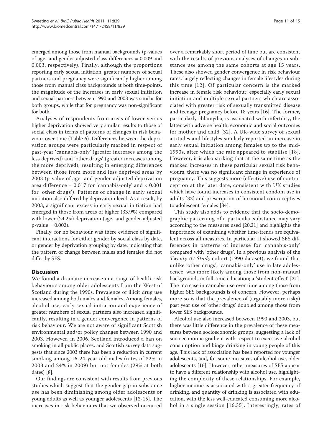emerged among those from manual backgrounds (p-values of age- and gender-adjusted class differences = 0.009 and 0.003, respectively). Finally, although the proportions reporting early sexual initiation, greater numbers of sexual partners and pregnancy were significantly higher among those from manual class backgrounds at both time-points, the magnitude of the increases in early sexual initiation and sexual partners between 1990 and 2003 was similar for both groups, while that for pregnancy was non-significant for both.

Analyses of respondents from areas of lower versus higher deprivation showed very similar results to those of social class in terms of patterns of changes in risk behaviour over time (Table [6](#page-12-0)). Differences between the deprivation groups were particularly marked in respect of past-year 'cannabis-only' (greater increases among the less deprived) and 'other drugs' (greater increases among the more deprived), resulting in emerging differences between those from more and less deprived areas by 2003 (p-value of age- and gender-adjusted deprivation area difference = 0.017 for 'cannabis-only' and < 0.001 for 'other drugs'). Patterns of change in early sexual initiation also differed by deprivation level. As a result, by 2003, a significant excess in early sexual initiation had emerged in those from areas of higher (33.9%) compared with lower (24.2%) deprivation (age- and gender-adjusted  $p$ -value = 0.002).

Finally, for no behaviour was there evidence of significant interactions for either gender by social class by date, or gender by deprivation grouping by date, indicating that the pattern of change between males and females did not differ by SES.

### **Discussion**

We found a dramatic increase in a range of health-risk behaviours among older adolescents from the West of Scotland during the 1990s. Prevalence of illicit drug use increased among both males and females. Among females, alcohol use, early sexual initiation and experience of greater numbers of sexual partners also increased significantly, resulting in a gender convergence in patterns of risk behaviour. We are not aware of significant Scottish environmental and/or policy changes between 1990 and 2003. However, in 2006, Scotland introduced a ban on smoking in all public places, and Scottish survey data suggests that since 2003 there has been a reduction in current smoking among 16-24-year old males (rates of 32% in 2003 and 24% in 2009) but not females (29% at both dates) [[8\]](#page-15-0).

Our findings are consistent with results from previous studies which suggest that the gender gap in substance use has been diminishing among older adolescents or young adults as well as younger adolescents [[13-15\]](#page-15-0). The increases in risk behaviours that we observed occurred over a remarkably short period of time but are consistent with the results of previous analyses of changes in substance use among the same cohorts at age 15 years. These also showed gender convergence in risk behaviour rates, largely reflecting changes in female lifestyles during this time [[12\]](#page-15-0). Of particular concern is the marked increase in female risk behaviour, especially early sexual initiation and multiple sexual partners which are associated with greater risk of sexually transmitted disease and teenage pregnancy before 18 years [[16\]](#page-15-0). The former, particularly chlamydia, is associated with infertility, the latter with adverse health, economic and social outcomes for mother and child [\[32\]](#page-15-0). A UK-wide survey of sexual attitudes and lifestyles similarly reported an increase in early sexual initiation among females up to the mid-1990s, after which the rate appeared to stabilise [\[18\]](#page-15-0). However, it is also striking that at the same time as the marked increases in these particular sexual risk behaviours, there was no significant change in experience of pregnancy. This suggests more (effective) use of contraception at the later date, consistent with UK studies which have found increases in consistent condom use in adults [[33](#page-15-0)] and prescription of hormonal contraceptives to adolescent females [\[34](#page-15-0)].

This study also adds to evidence that the socio-demographic patterning of a particular substance may vary according to the measures used [\[20,21\]](#page-15-0) and highlights the importance of examining whether time-trends are equivalent across all measures. In particular, it showed SES differences in patterns of increase for 'cannabis-only' compared with 'other drugs'. In a previous analysis of the Twenty-07 Study cohort (1990 dataset), we found that unlike 'other drugs', 'cannabis-only' use in late adolescence, was more likely among those from non-manual backgrounds in full-time education; a 'student effect' [[21](#page-15-0)]. The increase in cannabis use over time among those from higher SES backgrounds is of concern. However, perhaps more so is that the prevalence of (arguably more risky) past year use of 'other drugs' doubled among those from lower SES backgrounds.

Alcohol use also increased between 1990 and 2003, but there was little difference in the prevalence of these measures between socioeconomic groups, suggesting a lack of socioeconomic gradient with respect to excessive alcohol consumption and binge drinking in young people of this age. This lack of association has been reported for younger adolescents, and, for some measures of alcohol use, older adolescents [\[16](#page-15-0)]. However, other measures of SES appear to have a different relationship with alcohol use, highlighting the complexity of these relationships. For example, higher income is associated with a greater frequency of drinking, and quantity of drinking is associated with education, with the less well-educated consuming more alcohol in a single session [[16](#page-15-0),[35](#page-15-0)]. Interestingly, rates of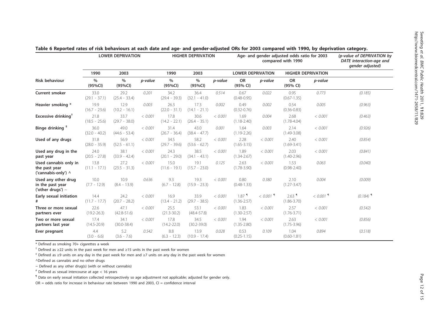|                                                                      |                         |                          |         |                         |                           |         |                                     |                        |                                                                    |                           | $\overline{\phantom{a}}$                                                   |
|----------------------------------------------------------------------|-------------------------|--------------------------|---------|-------------------------|---------------------------|---------|-------------------------------------|------------------------|--------------------------------------------------------------------|---------------------------|----------------------------------------------------------------------------|
|                                                                      |                         | <b>LOWER DEPRIVATION</b> |         |                         | <b>HIGHER DEPRIVATION</b> |         |                                     |                        | Age- and gender adjusted odds ratio for 2003<br>compared with 1990 |                           | (p-value of DEPRIVATION by<br>DATE interaction-age and<br>gender adjusted) |
|                                                                      | 1990                    | 2003                     |         | 1990                    | 2003                      |         | <b>LOWER DEPRIVATION</b>            |                        |                                                                    | <b>HIGHER DEPRIVATION</b> |                                                                            |
| Risk behaviour                                                       | $\%$<br>(95%CI)         | $\%$<br>(95%CI)          | p-value | $\%$<br>$(95\%CI)$      | $\%$<br>(95%CI)           | p-value | OR<br>(95% CI)                      | p-value                | OR<br>(95% CI)                                                     | p-value                   |                                                                            |
| <b>Current smoker</b>                                                | 33.0<br>$(29.1 - 37.1)$ | 29.2<br>$(25.4 - 33.4)$  | 0.201   | 34.2<br>$(29.4 - 39.3)$ | 36.4<br>$(32.1 - 41.0)$   | 0.514   | 0.67<br>$(0.48 - 0.95)$             | 0.022                  | 0.95<br>$(0.67 - 1.35)$                                            | 0.773                     | (0.185)                                                                    |
| Heavier smoking *                                                    | 19.9<br>$(16.7 - 23.6)$ | 12.9<br>$(10.2 - 16.1)$  | 0.003   | 26.3<br>$(22.0 - 31.1)$ | 17.3<br>$(14.1 - 21.1)$   | 0.002   | 0.49<br>$(0.32 - 0.76)$             | 0.002                  | 0.54<br>$(0.36 - 0.83)$                                            | 0.005                     | (0.963)                                                                    |
| Excessive drinking $T$                                               | 21.8<br>$(18.5 - 25.6)$ | 33.7<br>$(29.7 - 38.0)$  | < 0.001 | 17.8<br>$(14.2 - 22.1)$ | 30.6<br>$(26.4 - 35.1)$   | < 0.001 | 1.69<br>$(1.18 - 2.40)$             | 0.004                  | 2.68<br>$(1.78 - 4.04)$                                            | < 0.001                   | (0.463)                                                                    |
| Binge drinking <sup>#</sup>                                          | 36.0<br>$(32.0 - 40.2)$ | 49.0<br>$(44.6 - 53.4)$  | < 0.001 | 31.4<br>$(26.7 - 36.4)$ | 43.0<br>$(38.4 - 47.7)$   | 0.001   | 1.64<br>$(1.19 - 2.26)$             | 0.003                  | 2.14<br>$(1.49 - 3.08)$                                            | < 0.001                   | (0.926)                                                                    |
| Used of any drugs                                                    | 31.8<br>$(28.0 - 35.9)$ | 56.9<br>$(52.5 - 61.1)$  | < 0.001 | 34.5<br>$(29.7 - 39.6)$ | 58.2<br>$(53.6 - 62.7)$   | < 0.001 | 2.28<br>$(1.65 - 3.15)$             | < 0.001                | 2.40<br>$(1.69 - 3.41)$                                            | < 0.001                   | (0.854)                                                                    |
| Used any drug in the<br>past year                                    | 24.0<br>$(20.5 - 27.8)$ | 38.1<br>$(33.9 - 42.4)$  | < 0.001 | 24.3<br>$(20.1 - 29.0)$ | 38.5<br>$(34.1 - 43.1)$   | < 0.001 | 1.89<br>$(1.34 - 2.67)$             | < 0.001                | 2.03<br>$(1.40 - 2.96)$                                            | < 0.001                   | (0.841)                                                                    |
| Used cannabis only in<br>the past year<br>('cannabis-only') $\wedge$ | 13.8<br>$(11.1 - 17.1)$ | 27.2<br>$(23.5 - 31.3)$  | < 0.001 | 15.0<br>$(11.6 - 19.1)$ | 19.1<br>$(15.7 - 23.0)$   | 0.125   | 2.63<br>$(1.78 - 3.90)$             | < 0.001                | 1.53<br>$(0.98 - 2.40)$                                            | 0.063                     | (0.040)                                                                    |
| Used any other drug<br>in the past year<br>('other drugs') $\sim$    | 10.0<br>$(7.7 - 12.9)$  | 10.9<br>$(8.4 - 13.9)$   | 0.636   | 9.3<br>$(6.7 - 12.8)$   | 19.3<br>$(15.9 - 23.3)$   | < 0.001 | 0.80<br>$(0.48 - 1.33)$             | 0.380                  | 2.10<br>$(1.27 - 3.47)$                                            | 0.004                     | (0.009)                                                                    |
| Early sexual initiation<br>#                                         | 14.4<br>$(11.7 - 17.7)$ | 24.2<br>$(20.7 - 28.2)$  | < 0.001 | 16.9<br>$(13.4 - 21.2)$ | 33.9<br>$(29.7 - 38.5)$   | < 0.001 | $1.87$ $\degree$<br>$(1.36 - 2.57)$ | $< 0.001$ <sup>9</sup> | $2.63$ <sup>1</sup><br>$(1.86 - 3.70)$                             | $< 0.001$ <sup>1</sup>    | $(0.184)$ <sup>1</sup>                                                     |
| Three or more sexual<br>partners ever                                | 22.6<br>$(19.2 - 26.3)$ | 47.1<br>$(42.8 - 51.6)$  | < 0.001 | 25.5<br>$(21.3 - 30.2)$ | 53.1<br>$(48.4 - 57.8)$   | < 0.001 | 1.83<br>$(1.30 - 2.57)$             | < 0.001                | 2.57<br>$(1.76 - 3.71)$                                            | < 0.001                   | (0.542)                                                                    |
| Two or more sexual<br>partners last year                             | 17.4<br>$(14.5 - 20.9)$ | 34.1<br>$(30.0 - 38.4)$  | < 0.001 | 17.8<br>$(14.2 - 22.0)$ | 34.5<br>$(30.2 - 39.0)$   | < 0.001 | 1.94<br>$(1.35 - 2.80)$             | < 0.001                | 2.63<br>$(1.75 - 3.96)$                                            | < 0.001                   | (0.856)                                                                    |
| Ever pregnant                                                        | 4.4<br>$(3.0 - 6.6)$    | 5.2<br>$(3.6 - 7.6)$     | 0.542   | 8.8<br>$(6.3 - 12.3)$   | 13.9<br>$(10.9 - 17.4)$   | 0.028   | 0.53<br>$(0.25 - 1.15)$             | 0.109                  | 1.04<br>$(0.60 - 1.81)$                                            | 0.894                     | (0.518)                                                                    |

<span id="page-12-0"></span>

| Table 6 Reported rates of risk behaviours at each date and age- and gender-adjusted ORs for 2003 compared with 1990, by deprivation category. |
|-----------------------------------------------------------------------------------------------------------------------------------------------|
|-----------------------------------------------------------------------------------------------------------------------------------------------|

\* Defined as smoking 70+ cigarettes <sup>a</sup> week

<sup>†</sup> Defined as ≥22 units in the past week for men and ≥15 units in the past week for women

‡ Defined as <sup>≥</sup>9 units on any day in the past week for men and <sup>≥</sup><sup>7</sup> units on any day in the past week for women

^Defined as cannabis and no other drugs

 $\sim$  Defined as any other drug(s) (with or without cannabis)

 $*$  Defined as sexual intercourse at age  $<$  16 years

¶ Data on early sexual initiation collected retrospectively so age adjustment not applicable; adjusted for gender only.

 $OR =$  odds ratio for increase in behaviour rate between 1990 and 2003, CI = confidence interval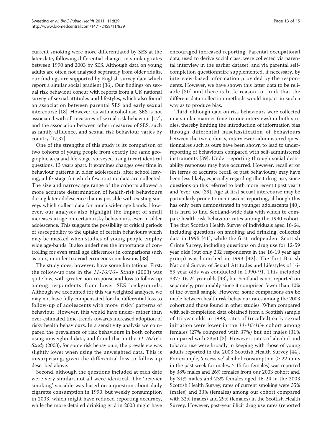current smoking were more differentiated by SES at the later date, following differential changes in smoking rates between 1990 and 2003 by SES. Although data on young adults are often not analysed separately from older adults, our findings are supported by English survey data which report a similar social gradient [[36\]](#page-15-0). Our findings on sexual risk behaviour concur with reports from a UK national survey of sexual attitudes and lifestyles, which also found an association between parental SES and early sexual intercourse [\[18](#page-15-0)]. However, as with alcohol use, SES is not associated with all measures of sexual risk behaviour [[17](#page-15-0)], and the association between other measures of SES, such as family affluence, and sexual risk behaviour varies by country [\[17,37](#page-15-0)].

One of the strengths of this study is its comparison of two cohorts of young people from exactly the same geographic area and life-stage, surveyed using (near) identical questions, 13 years apart. It examines changes over time in behaviour patterns in older adolescents, after school leaving, a life-stage for which few routine data are collected. The size and narrow age range of the cohorts allowed a more accurate determination of health-risk behaviours during later adolescence than is possible with existing surveys which collect data for much wider age bands. However, our analyses also highlight the impact of small increases in age on certain risky behaviours, even in older adolescence. This suggests the possibility of critical periods of susceptibility to the uptake of certain behaviours which may be masked when studies of young people employ wide age-bands. It also underlines the importance of controlling for even small age differences in comparisons such as ours, in order to avoid erroneous conclusions [[38](#page-15-0)].

The study does, however, have some limitations. First, the follow-up rate in the  $11$ -16/16+ Study (2003) was quite low, with greater non-response and loss to follow-up among respondents from lower SES backgrounds. Although we accounted for this via weighted analyses, we may not have fully compensated for the differential loss to follow-up of adolescents with more 'risky' patterns of behaviour. However, this would have under- rather than over-estimated time-trends towards increased adoption of risky health behaviours. In a sensitivity analysis we compared the prevalence of risk behaviours in both cohorts using unweighted data, and found that in the 11-16/16+ Study (2003), for some risk behaviours, the prevalence was slightly lower when using the unweighted data. This is unsurprising, given the differential loss to follow-up described above.

Second, although the questions included at each date were very similar, not all were identical. The 'heavier smoking' variable was based on a question about daily cigarette consumption in 1990, but weekly consumption in 2003, which might have reduced reporting accuracy, while the more detailed drinking grid in 2003 might have encouraged increased reporting. Parental occupational data, used to derive social class, were collected via parental interview in the earlier dataset, and via parental selfcompletion questionnaire supplemented, if necessary, by interview-based information provided by the respondents. However, we have shown this latter data to be reliable [[30\]](#page-15-0) and there is little reason to think that the different data-collection methods would impact in such a way as to produce bias.

Third, although data on risk behaviours were collected in a similar manner (one-to-one interviews) in both studies, thereby limiting the introduction of information bias through differential misclassification of behaviours between the two cohorts, interviewer-administered questionnaires such as ours have been shown to lead to underreporting of behaviours compared with self-administered instruments [\[39](#page-15-0)]. Under-reporting through social desirability responses may have occurred. However, recall error (in terms of accurate recall of past behaviours) may have been less likely, especially regarding illicit drug use, since questions on this referred to both more recent ('past year') and 'ever' use [[39\]](#page-15-0). Age at first sexual intercourse may be particularly prone to inconsistent reporting, although this has only been demonstrated in younger adolescents [\[40](#page-15-0)]. It is hard to find Scotland-wide data with which to compare health risk behaviour rates among the 1990 cohort. The first Scottish Health Survey of individuals aged 16-64, including questions on smoking and drinking, collected data in 1995 [[41](#page-15-0)], while the first independent Scottish Crime Survey, including questions on drug use for 12-59 year olds (but only 232 respondents in the 16-19 year age group) was launched in 1993 [[42](#page-15-0)]. The first British National Survey of Sexual Attitudes and Lifestyles of 16- 59 year olds was conducted in 1990-91. This included 3377 16-24 year olds [\[43\]](#page-15-0), but Scotland is not reported on separately, presumably since it comprised fewer than 10% of the overall sample. However, some comparisons can be made between health risk behaviour rates among the 2003 cohort and those found in other studies. When compared with self-completion data obtained from a Scottish sample of 15-year olds in 1998, rates of (recalled) early sexual initiation were lower in the 11-16/16+ cohort among females (27% compared with 37%) but not males (31% compared with 33%) [[3](#page-14-0)]. However, rates of alcohol and tobacco use were broadly in keeping with those of young adults reported in the 2003 Scottish Health Survey [\[44](#page-15-0)]. For example, 'excessive' alcohol consumption  $(2 22 \text{ units})$ in the past week for males,  $\geq 15$  for females) was reported by 38% males and 26% females from our 2003 cohort and, by 31% males and 23% females aged 16-24 in the 2003 Scottish Health Survey; rates of current smoking were 35% (males) and 33% (females) among our cohort compared with 32% (males) and 29% (females) in the Scottish Health Survey. However, past-year illicit drug use rates (reported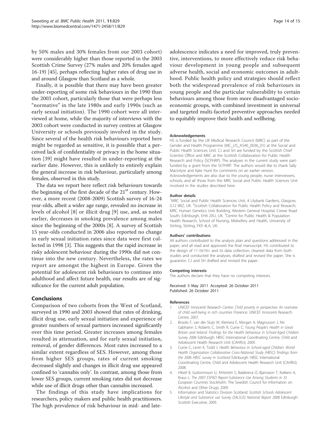<span id="page-14-0"></span>by 50% males and 30% females from our 2003 cohort) were considerably higher than those reported in the 2003 Scottish Crime Survey (27% males and 20% females aged 16-19) [\[45\]](#page-15-0), perhaps reflecting higher rates of drug use in and around Glasgow than Scotland as a whole.

Finally, it is possible that there may have been greater under-reporting of some risk behaviours in the 1990 than the 2003 cohort, particularly those that were perhaps less "normative" in the late 1980s and early 1990s (such as early sexual initiation). The 1990 cohort were all interviewed at home, while the majority of interviews with the 2003 cohort were conducted in survey centres at Glasgow University or schools previously involved in the study. Since several of the health risk behaviours reported here might be regarded as sensitive, it is possible that a perceived lack of confidentiality or privacy in the home situation [[39](#page-15-0)] might have resulted in under-reporting at the earlier date. However, this is unlikely to entirely explain the general increase in risk behaviour, particularly among females, observed in this study.

The data we report here reflect risk behaviours towards the beginning of the first decade of the  $21<sup>st</sup>$  century. However, a more recent (2008-2009) Scottish survey of 16-24 year-olds, albeit a wider age range, revealed no increase in levels of alcohol [[8\]](#page-15-0) or illicit drug [[9](#page-15-0)] use, and, as noted earlier, decreases in smoking prevalence among males since the beginning of the 2000s [\[8](#page-15-0)]. A survey of Scottish 15 year-olds conducted in 2006 also reported no change in early sexual initiation rates since data were first collected in 1998 [3]. This suggests that the rapid increase in risky adolescent behaviour during the 1990s did not continue into the new century. Nevertheless, the rates we report are amongst the highest in Europe. Given the potential for adolescent risk behaviours to continue into adulthood and affect future health, our results are of significance for the current adult population.

### Conclusions

Comparison of two cohorts from the West of Scotland, surveyed in 1990 and 2003 showed that rates of drinking, illicit drug use, early sexual initiation and experience of greater numbers of sexual partners increased significantly over this time period. Greater increases among females resulted in attenuation, and for early sexual initiation, removal, of gender differences. Most rates increased to a similar extent regardless of SES. However, among those from higher SES groups, rates of current smoking decreased slightly and changes in illicit drug use appeared confined to 'cannabis only'. In contrast, among those from lower SES groups, current smoking rates did not decrease while use of illicit drugs other than cannabis increased.

The findings of this study have implications for researchers, policy makers and public health practitioners. The high prevalence of risk behaviour in mid- and lateadolescence indicates a need for improved, truly preventive, interventions, to more effectively reduce risk behaviour development in young people and subsequent adverse health, social and economic outcomes in adulthood. Public health policy and strategies should reflect both the widespread prevalence of risk behaviours in young people and the particular vulnerability to certain behaviours among those from more disadvantaged socioeconomic groups, with combined investment in universal and targeted multi-faceted preventive approaches needed to equitably improve their health and wellbeing.

#### Acknowledgements

HS is funded by the UK Medical Research Council (MRC) as part of the Gender and Health Programme (MC\_US\_A540\_0036\_01) at the Social and Public Health Sciences Unit. CJ and SH are funded by the Scottish Chief Scientist Office and MRC at the Scottish Collaboration for Public Health Research and Policy (SCPHRP). The analyses in the current study were partfunded by a grant from the SCPHRP. The authors would like to thank Sally Macintyre and Kate Hunt for comments on an earlier version. Acknowledgements are also due to the young people, nurse interviewers, schools, and all those from the MRC Social and Public Health Sciences Unit involved in the studies described here.

#### Author details

<sup>1</sup>MRC Social and Public Health Sciences Unit, 4 Lilybank Gardens, Glasgow, G12 8RZ, UK. <sup>2</sup>Scottish Collaboration for Public Health Policy and Research MRC Human Genetics Unit Building, Western General Hospital, Crewe Road South, Edinburgh, EH4 2XU, UK.<sup>3</sup> Centre for Public Health & Population Health Research, School of Nursing, Midwifery and Health, University of Stirling, Stirling, FK9 4LA, UK.

#### Authors' contributions

All authors contributed to the analysis plan and questions addressed in the paper, and all read and approved the final manuscript. HS contributed to the design of 11-16/16+ and its data collection, cleaned data from both studies and conducted the analyses, drafted and revised the paper. She is guarantor. CJ and SH drafted and revised the paper.

#### Competing interests

The authors declare that they have no competing interests.

#### Received: 5 May 2011 Accepted: 26 October 2011 Published: 26 October 2011

#### References

- 1. UNICEF Innocenti Research Centre: Child poverty in perspective: An overview of child well-being in rich countries Florence: UNICEF Innocenti Research Centre; 2007.
- 2. Brooks F, van der Sluijs W, Klemera E, Morgan A, Magnusson J, Nic Gabhainn S, Roberts C, Smith R, Currie C: Young People's Health in Great Britain and Ireland: Findings for the Health behaviour in School-Aged Children Survey 2006 Edinburgh: HBSC International Coordinating Centre, Child and Adolescent Health Research Unit (CAHRU); 2009.
- 3. Currie C, Levin K, Todd J: Health Behaviour in School-aged Children: World Health Organization Collaborative Cross-National Study (HBSC): findings from the 2006 HBSC survey in Scotland Edinburgh: HBSC International Coordinating Centre, Child and Adolescent Health Research Unit (CAHRU); 2008.
- 4. Hibell B, Guttormsson U, Ahlström S, Balakireva O, Bjarnason T, Kokkevi A, Kraus L: The 2007 ESPAD Report-Substance Use Among Students in 35 European Countries Stockholm: The Swedish Council for Information on Alcohol and Other Drugs; 2009.
- Information and Statistics Division Scotland: Scottish Schools Adolescent Lifestyle and Substance use Survey (SALSUS) National Report 2008 Edinburgh: Scottish Executive; 2009.